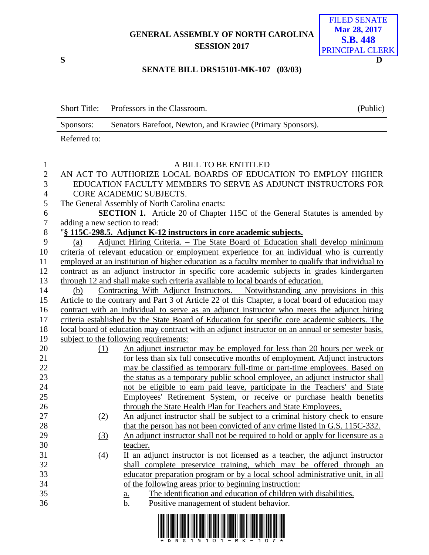## **GENERAL ASSEMBLY OF NORTH CAROLINA SESSION 2017**



## **SENATE BILL DRS15101-MK-107 (03/03)**

|              | Short Title: Professors in the Classroom.                  | (Public) |
|--------------|------------------------------------------------------------|----------|
| Sponsors:    | Senators Barefoot, Newton, and Krawiec (Primary Sponsors). |          |
| Referred to: |                                                            |          |

| $\mathbf{1}$     | A BILL TO BE ENTITLED                                                                            |                                                                                                                  |  |  |  |
|------------------|--------------------------------------------------------------------------------------------------|------------------------------------------------------------------------------------------------------------------|--|--|--|
| $\overline{2}$   | AN ACT TO AUTHORIZE LOCAL BOARDS OF EDUCATION TO EMPLOY HIGHER                                   |                                                                                                                  |  |  |  |
| 3                | EDUCATION FACULTY MEMBERS TO SERVE AS ADJUNCT INSTRUCTORS FOR                                    |                                                                                                                  |  |  |  |
| $\overline{4}$   | CORE ACADEMIC SUBJECTS.                                                                          |                                                                                                                  |  |  |  |
| 5                | The General Assembly of North Carolina enacts:                                                   |                                                                                                                  |  |  |  |
| 6                | <b>SECTION 1.</b> Article 20 of Chapter 115C of the General Statutes is amended by               |                                                                                                                  |  |  |  |
| $\boldsymbol{7}$ | adding a new section to read:                                                                    |                                                                                                                  |  |  |  |
| $8\,$            | "§ 115C-298.5. Adjunct K-12 instructors in core academic subjects.                               |                                                                                                                  |  |  |  |
| 9                | (a)                                                                                              | Adjunct Hiring Criteria. - The State Board of Education shall develop minimum                                    |  |  |  |
| 10               |                                                                                                  | criteria of relevant education or employment experience for an individual who is currently                       |  |  |  |
| 11               | employed at an institution of higher education as a faculty member to qualify that individual to |                                                                                                                  |  |  |  |
| 12               | contract as an adjunct instructor in specific core academic subjects in grades kindergarten      |                                                                                                                  |  |  |  |
| 13               | through 12 and shall make such criteria available to local boards of education.                  |                                                                                                                  |  |  |  |
| 14               | (b)                                                                                              | Contracting With Adjunct Instructors. - Notwithstanding any provisions in this                                   |  |  |  |
| 15               |                                                                                                  | Article to the contrary and Part 3 of Article 22 of this Chapter, a local board of education may                 |  |  |  |
| 16               | contract with an individual to serve as an adjunct instructor who meets the adjunct hiring       |                                                                                                                  |  |  |  |
| 17               | criteria established by the State Board of Education for specific core academic subjects. The    |                                                                                                                  |  |  |  |
| 18               | local board of education may contract with an adjunct instructor on an annual or semester basis, |                                                                                                                  |  |  |  |
| 19               |                                                                                                  | subject to the following requirements:                                                                           |  |  |  |
| 20               | (1)                                                                                              | An adjunct instructor may be employed for less than 20 hours per week or                                         |  |  |  |
| 21               |                                                                                                  | for less than six full consecutive months of employment. Adjunct instructors                                     |  |  |  |
| 22               |                                                                                                  | may be classified as temporary full-time or part-time employees. Based on                                        |  |  |  |
| 23               |                                                                                                  | the status as a temporary public school employee, an adjunct instructor shall                                    |  |  |  |
| 24               |                                                                                                  | not be eligible to earn paid leave, participate in the Teachers' and State                                       |  |  |  |
| 25               |                                                                                                  | Employees' Retirement System, or receive or purchase health benefits                                             |  |  |  |
| 26               |                                                                                                  | through the State Health Plan for Teachers and State Employees.                                                  |  |  |  |
| 27               | (2)                                                                                              | An adjunct instructor shall be subject to a criminal history check to ensure                                     |  |  |  |
| 28               |                                                                                                  | that the person has not been convicted of any crime listed in G.S. 115C-332.                                     |  |  |  |
| 29               | (3)                                                                                              | An adjunct instructor shall not be required to hold or apply for licensure as a                                  |  |  |  |
| 30               |                                                                                                  | teacher.                                                                                                         |  |  |  |
| 31               | (4)                                                                                              | If an adjunct instructor is not licensed as a teacher, the adjunct instructor                                    |  |  |  |
| 32               |                                                                                                  | shall complete preservice training, which may be offered through an                                              |  |  |  |
| 33               |                                                                                                  | educator preparation program or by a local school administrative unit, in all                                    |  |  |  |
| 34               |                                                                                                  | of the following areas prior to beginning instruction:                                                           |  |  |  |
| 35               |                                                                                                  | The identification and education of children with disabilities.<br><u>a.</u>                                     |  |  |  |
| 36               |                                                                                                  | <u>b.</u><br>Positive management of student behavior.                                                            |  |  |  |
|                  |                                                                                                  | <u>i indilin tunitu linin ini lindi dilat linil bolgi lini linduki inili di lindu linil bolgi lubi linil lin</u> |  |  |  |

\*DRS15101-MK-107\*